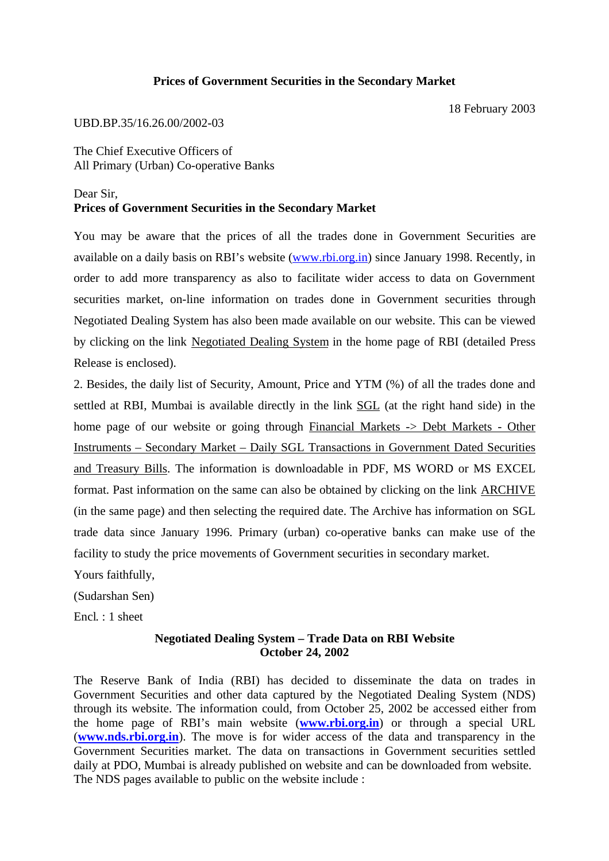## **Prices of Government Securities in the Secondary Market**

18 February 2003

## UBD.BP.35/16.26.00/2002-03

The Chief Executive Officers of All Primary (Urban) Co-operative Banks

## Dear Sir, **Prices of Government Securities in the Secondary Market**

You may be aware that the prices of all the trades done in Government Securities are available on a daily basis on RBI's website (www.rbi.org.in) since January 1998. Recently, in order to add more transparency as also to facilitate wider access to data on Government securities market, on-line information on trades done in Government securities through Negotiated Dealing System has also been made available on our website. This can be viewed by clicking on the link Negotiated Dealing System in the home page of RBI (detailed Press Release is enclosed).

2. Besides, the daily list of Security, Amount, Price and YTM (%) of all the trades done and settled at RBI, Mumbai is available directly in the link SGL (at the right hand side) in the home page of our website or going through Financial Markets -> Debt Markets - Other Instruments – Secondary Market – Daily SGL Transactions in Government Dated Securities and Treasury Bills. The information is downloadable in PDF, MS WORD or MS EXCEL format. Past information on the same can also be obtained by clicking on the link ARCHIVE (in the same page) and then selecting the required date. The Archive has information on SGL trade data since January 1996. Primary (urban) co-operative banks can make use of the facility to study the price movements of Government securities in secondary market.

Yours faithfully,

(Sudarshan Sen)

Encl. : 1 sheet

## **Negotiated Dealing System – Trade Data on RBI Website October 24, 2002**

The Reserve Bank of India (RBI) has decided to disseminate the data on trades in Government Securities and other data captured by the Negotiated Dealing System (NDS) through its website. The information could, from October 25, 2002 be accessed either from the home page of RBI's main website (**www.rbi.org.in**) or through a special URL (**www.nds.rbi.org.in**). The move is for wider access of the data and transparency in the Government Securities market. The data on transactions in Government securities settled daily at PDO, Mumbai is already published on website and can be downloaded from website. The NDS pages available to public on the website include :